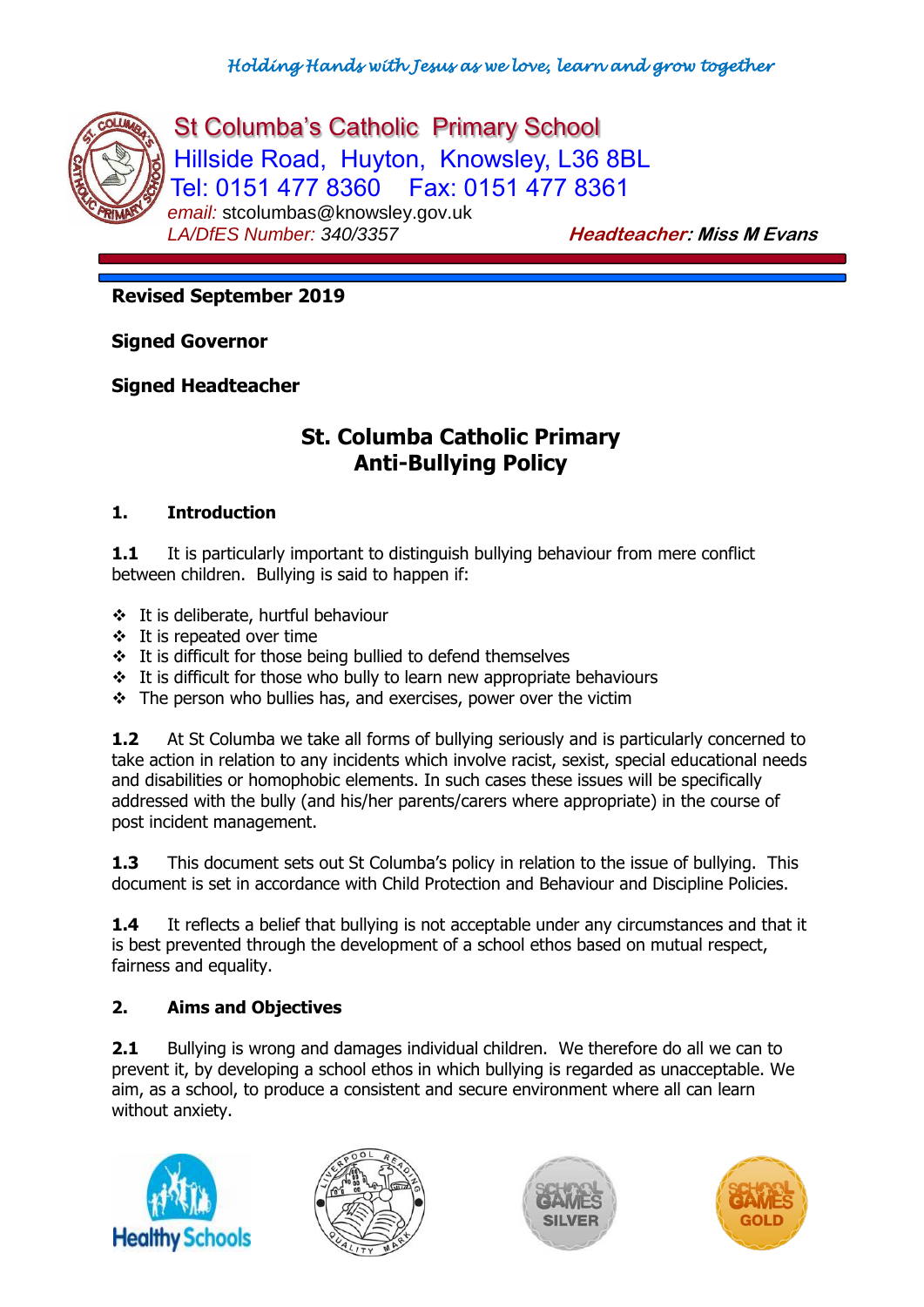

St Columba's Catholic Primary School Hillside Road, Huyton, Knowsley, L36 8BL Tel: 0151 477 8360 Fax: 0151 477 8361 email: stcolumbas@knowsley.gov.uk<br>LA/DfES Number: 340/3357

*LA/DfES Number: 340/3357* **Headteacher: Miss M Evans**

**Revised September 2019**

**Signed Governor**

**Signed Headteacher**

# **St. Columba Catholic Primary Anti-Bullying Policy**

#### **1. Introduction**

**1.1** It is particularly important to distinguish bullying behaviour from mere conflict between children. Bullying is said to happen if:

- It is deliberate, hurtful behaviour
- $\div$  It is repeated over time
- $\div$  It is difficult for those being bullied to defend themselves
- $\cdot$  It is difficult for those who bully to learn new appropriate behaviours
- $\div$  The person who bullies has, and exercises, power over the victim

**1.2** At St Columba we take all forms of bullying seriously and is particularly concerned to take action in relation to any incidents which involve racist, sexist, special educational needs and disabilities or homophobic elements. In such cases these issues will be specifically addressed with the bully (and his/her parents/carers where appropriate) in the course of post incident management.

**1.3** This document sets out St Columba's policy in relation to the issue of bullying. This document is set in accordance with Child Protection and Behaviour and Discipline Policies.

**1.4** It reflects a belief that bullying is not acceptable under any circumstances and that it is best prevented through the development of a school ethos based on mutual respect, fairness and equality.

## **2. Aims and Objectives**

**2.1** Bullying is wrong and damages individual children. We therefore do all we can to prevent it, by developing a school ethos in which bullying is regarded as unacceptable. We aim, as a school, to produce a consistent and secure environment where all can learn without anxiety.







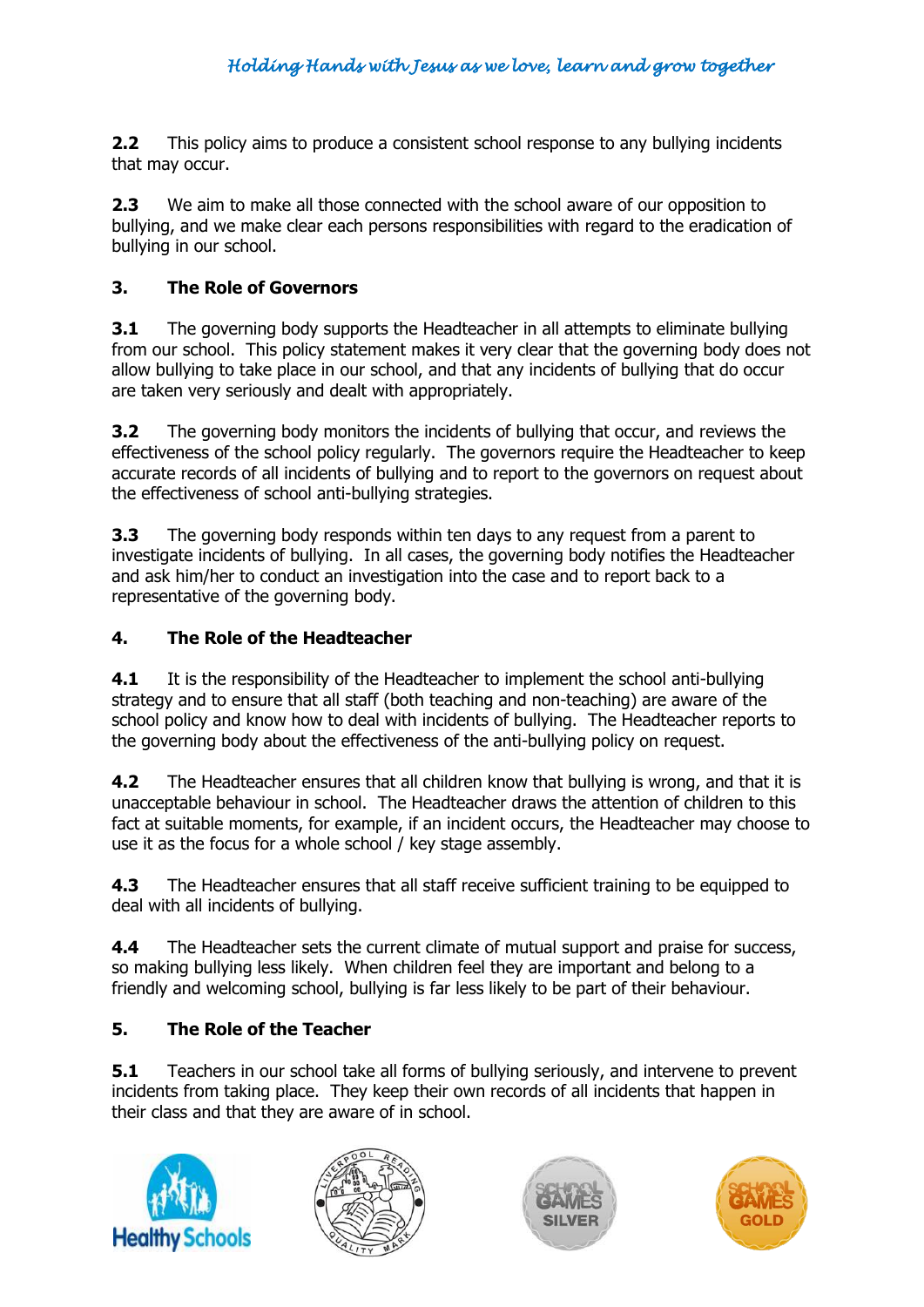**2.2** This policy aims to produce a consistent school response to any bullying incidents that may occur.

**2.3** We aim to make all those connected with the school aware of our opposition to bullying, and we make clear each persons responsibilities with regard to the eradication of bullying in our school.

## **3. The Role of Governors**

**3.1** The governing body supports the Headteacher in all attempts to eliminate bullying from our school. This policy statement makes it very clear that the governing body does not allow bullying to take place in our school, and that any incidents of bullying that do occur are taken very seriously and dealt with appropriately.

**3.2** The governing body monitors the incidents of bullying that occur, and reviews the effectiveness of the school policy regularly. The governors require the Headteacher to keep accurate records of all incidents of bullying and to report to the governors on request about the effectiveness of school anti-bullying strategies.

**3.3** The governing body responds within ten days to any request from a parent to investigate incidents of bullying. In all cases, the governing body notifies the Headteacher and ask him/her to conduct an investigation into the case and to report back to a representative of the governing body.

## **4. The Role of the Headteacher**

**4.1** It is the responsibility of the Headteacher to implement the school anti-bullying strategy and to ensure that all staff (both teaching and non-teaching) are aware of the school policy and know how to deal with incidents of bullying. The Headteacher reports to the governing body about the effectiveness of the anti-bullying policy on request.

**4.2** The Headteacher ensures that all children know that bullying is wrong, and that it is unacceptable behaviour in school. The Headteacher draws the attention of children to this fact at suitable moments, for example, if an incident occurs, the Headteacher may choose to use it as the focus for a whole school / key stage assembly.

**4.3** The Headteacher ensures that all staff receive sufficient training to be equipped to deal with all incidents of bullying.

**4.4** The Headteacher sets the current climate of mutual support and praise for success, so making bullying less likely. When children feel they are important and belong to a friendly and welcoming school, bullying is far less likely to be part of their behaviour.

## **5. The Role of the Teacher**

**5.1** Teachers in our school take all forms of bullying seriously, and intervene to prevent incidents from taking place. They keep their own records of all incidents that happen in their class and that they are aware of in school.







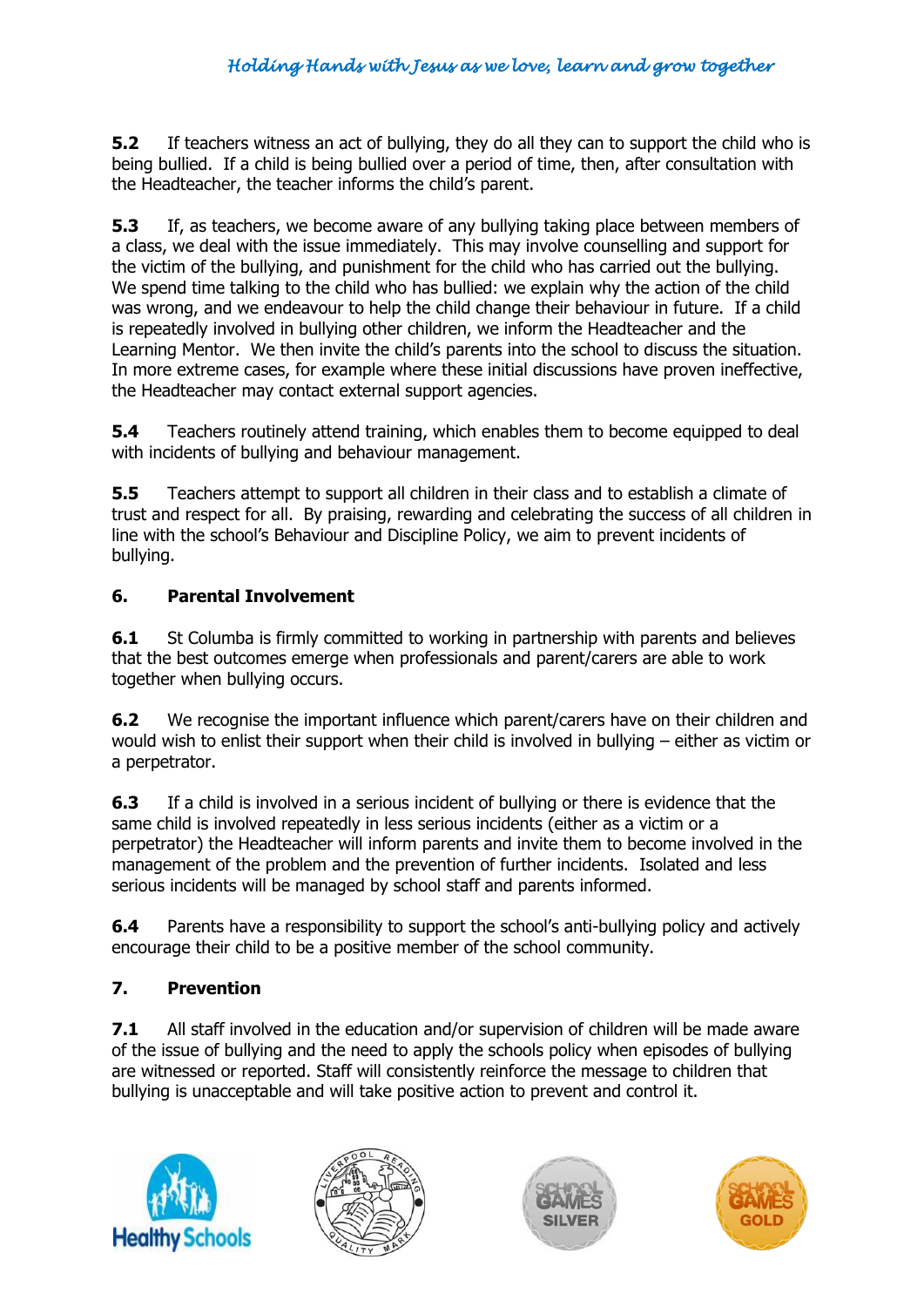**5.2** If teachers witness an act of bullying, they do all they can to support the child who is being bullied. If a child is being bullied over a period of time, then, after consultation with the Headteacher, the teacher informs the child's parent.

**5.3** If, as teachers, we become aware of any bullying taking place between members of a class, we deal with the issue immediately. This may involve counselling and support for the victim of the bullying, and punishment for the child who has carried out the bullying. We spend time talking to the child who has bullied: we explain why the action of the child was wrong, and we endeavour to help the child change their behaviour in future. If a child is repeatedly involved in bullying other children, we inform the Headteacher and the Learning Mentor. We then invite the child's parents into the school to discuss the situation. In more extreme cases, for example where these initial discussions have proven ineffective, the Headteacher may contact external support agencies.

**5.4** Teachers routinely attend training, which enables them to become equipped to deal with incidents of bullying and behaviour management.

**5.5** Teachers attempt to support all children in their class and to establish a climate of trust and respect for all. By praising, rewarding and celebrating the success of all children in line with the school's Behaviour and Discipline Policy, we aim to prevent incidents of bullying.

#### **6. Parental Involvement**

**6.1** St Columba is firmly committed to working in partnership with parents and believes that the best outcomes emerge when professionals and parent/carers are able to work together when bullying occurs.

**6.2** We recognise the important influence which parent/carers have on their children and would wish to enlist their support when their child is involved in bullying – either as victim or a perpetrator.

**6.3** If a child is involved in a serious incident of bullying or there is evidence that the same child is involved repeatedly in less serious incidents (either as a victim or a perpetrator) the Headteacher will inform parents and invite them to become involved in the management of the problem and the prevention of further incidents. Isolated and less serious incidents will be managed by school staff and parents informed.

**6.4** Parents have a responsibility to support the school's anti-bullying policy and actively encourage their child to be a positive member of the school community.

## **7. Prevention**

**7.1** All staff involved in the education and/or supervision of children will be made aware of the issue of bullying and the need to apply the schools policy when episodes of bullying are witnessed or reported. Staff will consistently reinforce the message to children that bullying is unacceptable and will take positive action to prevent and control it.







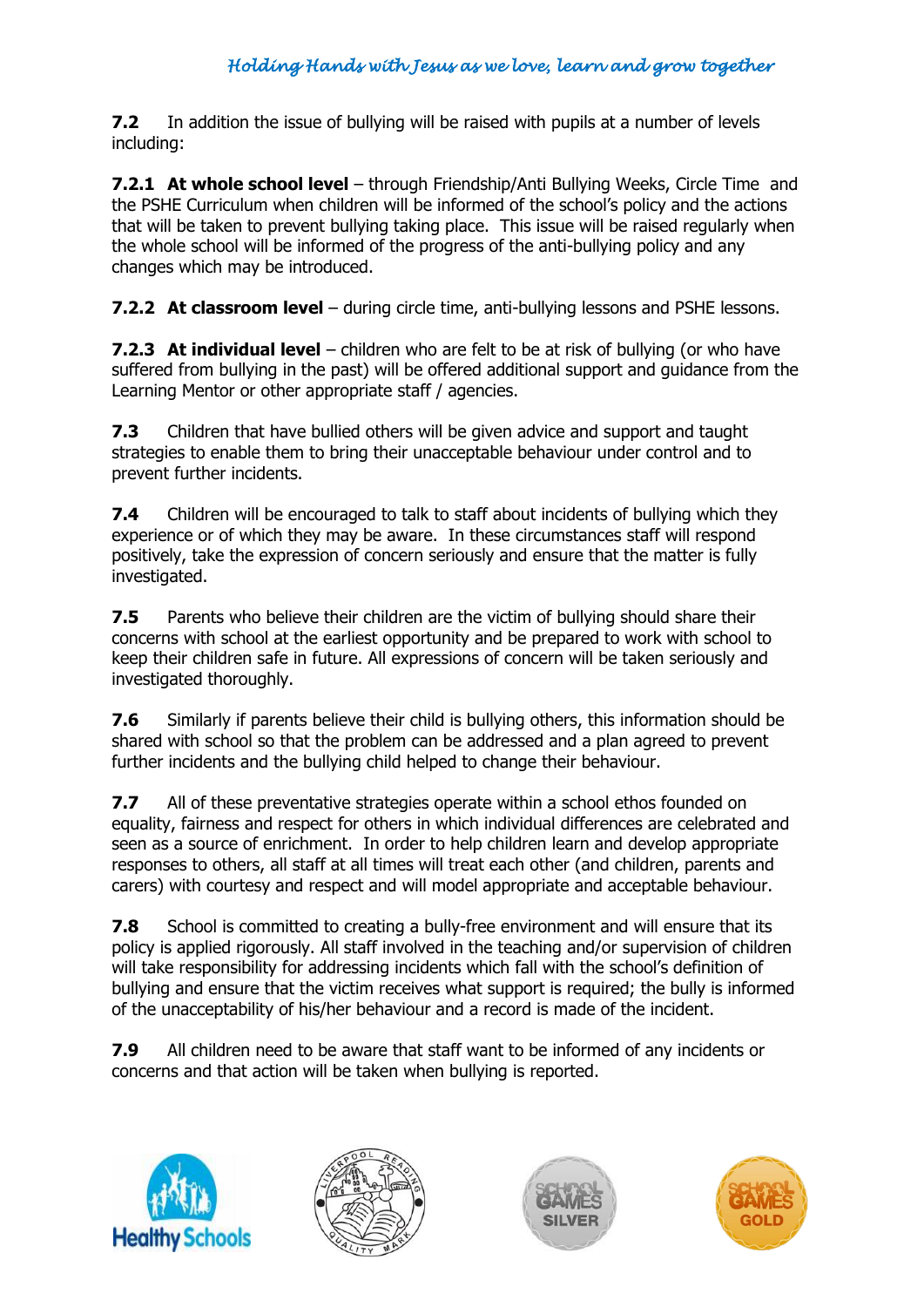**7.2** In addition the issue of bullying will be raised with pupils at a number of levels including:

**7.2.1 At whole school level** – through Friendship/Anti Bullying Weeks, Circle Time and the PSHE Curriculum when children will be informed of the school's policy and the actions that will be taken to prevent bullying taking place. This issue will be raised regularly when the whole school will be informed of the progress of the anti-bullying policy and any changes which may be introduced.

**7.2.2 At classroom level** – during circle time, anti-bullying lessons and PSHE lessons.

**7.2.3 At individual level** – children who are felt to be at risk of bullying (or who have suffered from bullying in the past) will be offered additional support and guidance from the Learning Mentor or other appropriate staff / agencies.

**7.3** Children that have bullied others will be given advice and support and taught strategies to enable them to bring their unacceptable behaviour under control and to prevent further incidents.

**7.4** Children will be encouraged to talk to staff about incidents of bullying which they experience or of which they may be aware. In these circumstances staff will respond positively, take the expression of concern seriously and ensure that the matter is fully investigated.

**7.5** Parents who believe their children are the victim of bullying should share their concerns with school at the earliest opportunity and be prepared to work with school to keep their children safe in future. All expressions of concern will be taken seriously and investigated thoroughly.

**7.6** Similarly if parents believe their child is bullying others, this information should be shared with school so that the problem can be addressed and a plan agreed to prevent further incidents and the bullying child helped to change their behaviour.

**7.7** All of these preventative strategies operate within a school ethos founded on equality, fairness and respect for others in which individual differences are celebrated and seen as a source of enrichment. In order to help children learn and develop appropriate responses to others, all staff at all times will treat each other (and children, parents and carers) with courtesy and respect and will model appropriate and acceptable behaviour.

**7.8** School is committed to creating a bully-free environment and will ensure that its policy is applied rigorously. All staff involved in the teaching and/or supervision of children will take responsibility for addressing incidents which fall with the school's definition of bullying and ensure that the victim receives what support is required; the bully is informed of the unacceptability of his/her behaviour and a record is made of the incident.

**7.9** All children need to be aware that staff want to be informed of any incidents or concerns and that action will be taken when bullying is reported.







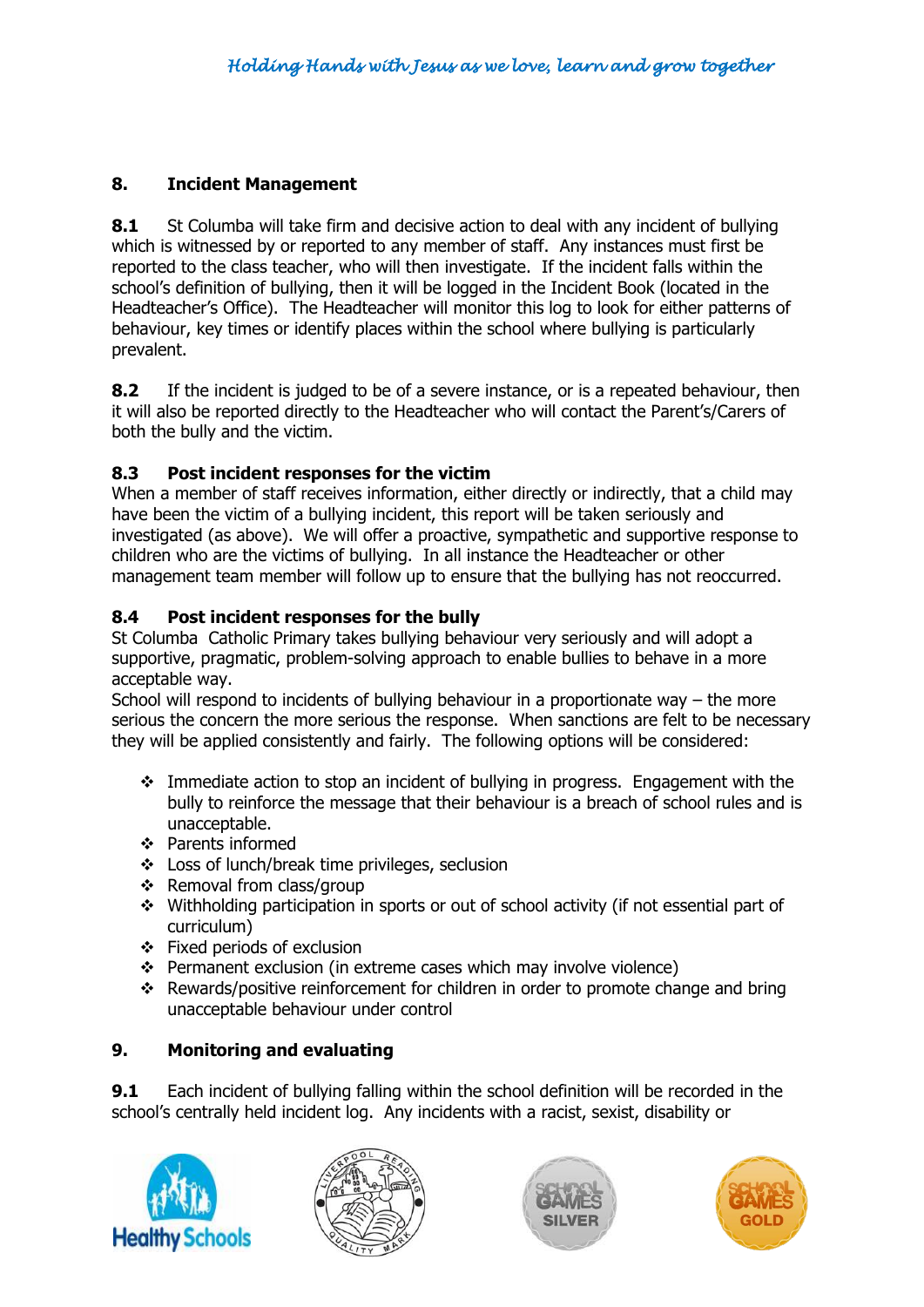#### **8. Incident Management**

**8.1** St Columba will take firm and decisive action to deal with any incident of bullying which is witnessed by or reported to any member of staff. Any instances must first be reported to the class teacher, who will then investigate. If the incident falls within the school's definition of bullying, then it will be logged in the Incident Book (located in the Headteacher's Office). The Headteacher will monitor this log to look for either patterns of behaviour, key times or identify places within the school where bullying is particularly prevalent.

**8.2** If the incident is judged to be of a severe instance, or is a repeated behaviour, then it will also be reported directly to the Headteacher who will contact the Parent's/Carers of both the bully and the victim.

## **8.3 Post incident responses for the victim**

When a member of staff receives information, either directly or indirectly, that a child may have been the victim of a bullying incident, this report will be taken seriously and investigated (as above). We will offer a proactive, sympathetic and supportive response to children who are the victims of bullying. In all instance the Headteacher or other management team member will follow up to ensure that the bullying has not reoccurred.

#### **8.4 Post incident responses for the bully**

St Columba Catholic Primary takes bullying behaviour very seriously and will adopt a supportive, pragmatic, problem-solving approach to enable bullies to behave in a more acceptable way.

School will respond to incidents of bullying behaviour in a proportionate way  $-$  the more serious the concern the more serious the response. When sanctions are felt to be necessary they will be applied consistently and fairly. The following options will be considered:

- Immediate action to stop an incident of bullying in progress. Engagement with the bully to reinforce the message that their behaviour is a breach of school rules and is unacceptable.
- ❖ Parents informed
- Loss of lunch/break time privileges, seclusion
- $\div$  Removal from class/group
- Withholding participation in sports or out of school activity (if not essential part of curriculum)
- Fixed periods of exclusion
- Permanent exclusion (in extreme cases which may involve violence)
- Rewards/positive reinforcement for children in order to promote change and bring unacceptable behaviour under control

## **9. Monitoring and evaluating**

**9.1** Each incident of bullying falling within the school definition will be recorded in the school's centrally held incident log. Any incidents with a racist, sexist, disability or